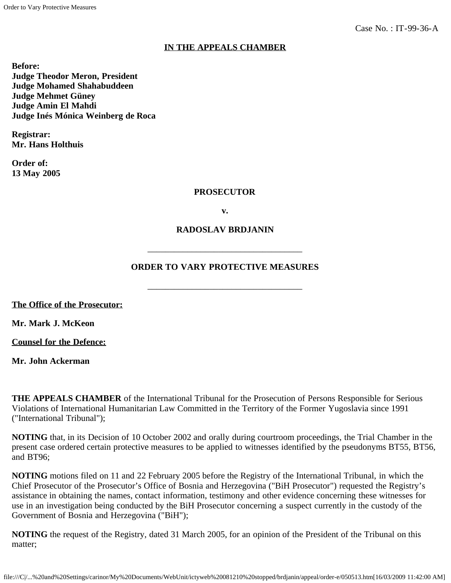# **IN THE APPEALS CHAMBER**

**Before: Judge Theodor Meron, President Judge Mohamed Shahabuddeen Judge Mehmet Güney Judge Amin El Mahdi Judge Inés Mónica Weinberg de Roca**

**Registrar: Mr. Hans Holthuis**

**Order of: 13 May 2005**

#### **PROSECUTOR**

**v.**

## **RADOSLAV BRDJANIN**

## **ORDER TO VARY PROTECTIVE MEASURES**

\_\_\_\_\_\_\_\_\_\_\_\_\_\_\_\_\_\_\_\_\_\_\_\_\_\_\_\_\_\_\_\_\_\_\_

\_\_\_\_\_\_\_\_\_\_\_\_\_\_\_\_\_\_\_\_\_\_\_\_\_\_\_\_\_\_\_\_\_\_\_

**The Office of the Prosecutor:**

**Mr. Mark J. McKeon**

**Counsel for the Defence:**

**Mr. John Ackerman**

**THE APPEALS CHAMBER** of the International Tribunal for the Prosecution of Persons Responsible for Serious Violations of International Humanitarian Law Committed in the Territory of the Former Yugoslavia since 1991 ("International Tribunal");

**NOTING** that, in its Decision of 10 October 2002 and orally during courtroom proceedings, the Trial Chamber in the present case ordered certain protective measures to be applied to witnesses identified by the pseudonyms BT55, BT56, and BT96;

**NOTING** motions filed on 11 and 22 February 2005 before the Registry of the International Tribunal, in which the Chief Prosecutor of the Prosecutor's Office of Bosnia and Herzegovina ("BiH Prosecutor") requested the Registry's assistance in obtaining the names, contact information, testimony and other evidence concerning these witnesses for use in an investigation being conducted by the BiH Prosecutor concerning a suspect currently in the custody of the Government of Bosnia and Herzegovina ("BiH");

**NOTING** the request of the Registry, dated 31 March 2005, for an opinion of the President of the Tribunal on this matter;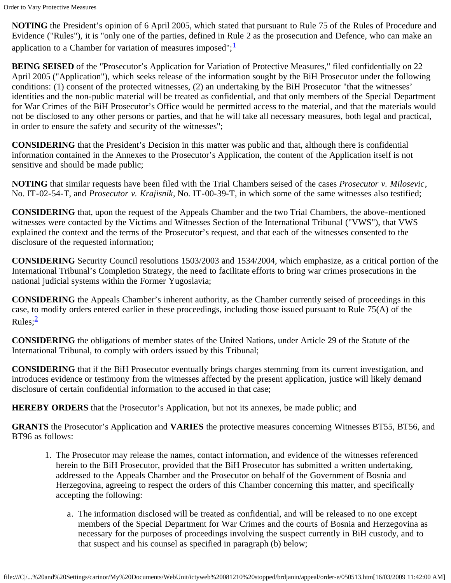**NOTING** the President's opinion of 6 April 2005, which stated that pursuant to Rule 75 of the Rules of Procedure and Evidence ("Rules"), it is "only one of the parties, defined in Rule 2 as the prosecution and Defence, who can make an application to a Chamber for variation of measures imposed";  $\frac{1}{x}$  $\frac{1}{x}$  $\frac{1}{x}$ 

**BEING SEISED** of the "Prosecutor's Application for Variation of Protective Measures," filed confidentially on 22 April 2005 ("Application"), which seeks release of the information sought by the BiH Prosecutor under the following conditions: (1) consent of the protected witnesses, (2) an undertaking by the BiH Prosecutor "that the witnesses' identities and the non-public material will be treated as confidential, and that only members of the Special Department for War Crimes of the BiH Prosecutor's Office would be permitted access to the material, and that the materials would not be disclosed to any other persons or parties, and that he will take all necessary measures, both legal and practical, in order to ensure the safety and security of the witnesses";

**CONSIDERING** that the President's Decision in this matter was public and that, although there is confidential information contained in the Annexes to the Prosecutor's Application, the content of the Application itself is not sensitive and should be made public;

**NOTING** that similar requests have been filed with the Trial Chambers seised of the cases *Prosecutor v. Milosevic*, No. IT-02-54-T, and *Prosecutor v. Krajisnik*, No. IT-00-39-T, in which some of the same witnesses also testified;

**CONSIDERING** that, upon the request of the Appeals Chamber and the two Trial Chambers, the above-mentioned witnesses were contacted by the Victims and Witnesses Section of the International Tribunal ("VWS"), that VWS explained the context and the terms of the Prosecutor's request, and that each of the witnesses consented to the disclosure of the requested information;

**CONSIDERING** Security Council resolutions 1503/2003 and 1534/2004, which emphasize, as a critical portion of the International Tribunal's Completion Strategy, the need to facilitate efforts to bring war crimes prosecutions in the national judicial systems within the Former Yugoslavia;

**CONSIDERING** the Appeals Chamber's inherent authority, as the Chamber currently seised of proceedings in this case, to modify orders entered earlier in these proceedings, including those issued pursuant to Rule 75(A) of the  $Rules:  $2$$  $Rules:  $2$$  $Rules:  $2$$ 

**CONSIDERING** the obligations of member states of the United Nations, under Article 29 of the Statute of the International Tribunal, to comply with orders issued by this Tribunal;

**CONSIDERING** that if the BiH Prosecutor eventually brings charges stemming from its current investigation, and introduces evidence or testimony from the witnesses affected by the present application, justice will likely demand disclosure of certain confidential information to the accused in that case;

**HEREBY ORDERS** that the Prosecutor's Application, but not its annexes, be made public; and

**GRANTS** the Prosecutor's Application and **VARIES** the protective measures concerning Witnesses BT55, BT56, and BT96 as follows:

- 1. The Prosecutor may release the names, contact information, and evidence of the witnesses referenced herein to the BiH Prosecutor, provided that the BiH Prosecutor has submitted a written undertaking, addressed to the Appeals Chamber and the Prosecutor on behalf of the Government of Bosnia and Herzegovina, agreeing to respect the orders of this Chamber concerning this matter, and specifically accepting the following:
	- a. The information disclosed will be treated as confidential, and will be released to no one except members of the Special Department for War Crimes and the courts of Bosnia and Herzegovina as necessary for the purposes of proceedings involving the suspect currently in BiH custody, and to that suspect and his counsel as specified in paragraph (b) below;